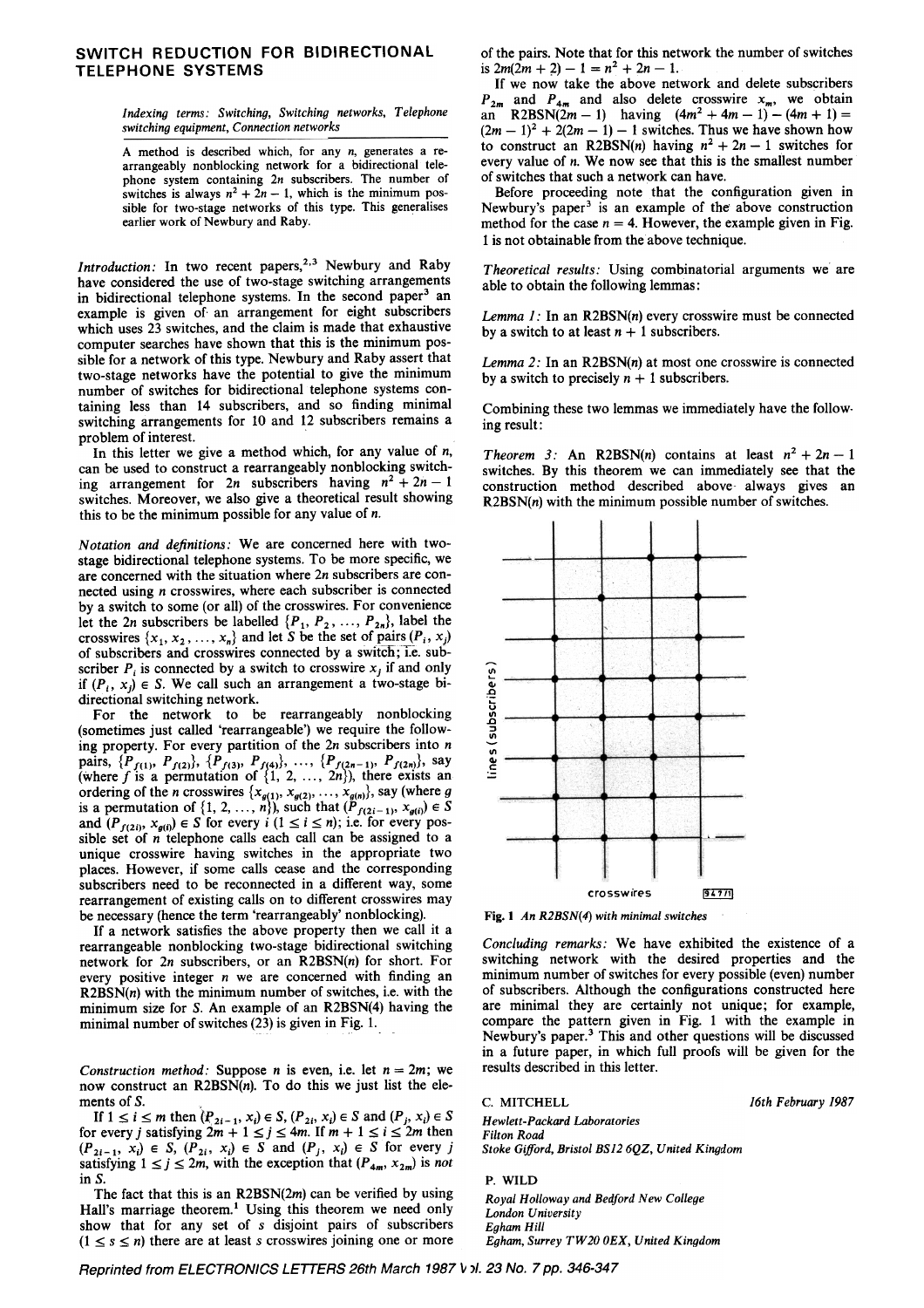## SWITCH REDUCTION FOR BIDIRECTIONAL TELEPHONE SYSTEMS

Indexing terms: Switching, Switching networks, Telephone switching equipment, Connection networks

A method is described which, for any n, generates a rearrangeably nonblocking network for a bidirectional telephone system containing 2n subscribers. The number of switches is always  $n^2 + 2n - 1$ , which is the minimum possible for two-stage networks of this type. This generalises earlier work of Newbury and Raby.

Introduction: In two recent papers,<sup>2,3</sup> Newbury and Raby have considered the use of two-stage switching arrangements in bidirectional telephone systems. In the second paper<sup>3</sup> an example is given of an arrangement for eight subscribers which uses 23 switches, and the claim is made that exhaustive computer searches have shown that this is the minimum possible for a network of this type. Newbury and Raby assert that two-stage networks have the potential to give the minimum number of switches for bidirectional telephone systems containing less than 14 subscribers, and so finding minimal switching arrangements for 10 and 12 subscribers remains a problem of interest.

In this letter we give a method which, for any value of  $n$ , can be used to construct a rearrangeably nonblocking switching arrangement for 2n subscribers having  $n^2 + 2n - 1$ switches. Moreover, we also give a theoretical result showing this to be the minimum possible for any value of  $n$ .

Notation and definitions: We are concerned here with twostage bidirectional telephone systems. To be more specific, we are concerned with the situation where 2n subscribers are connected using n crosswires, where each subscriber is connected by a switch to some (or all) of the crosswires. For convenience let the 2n subscribers be labelled  $\{P_1, P_2, ..., P_{2n}\}$ , label the crosswires  $\{x_1, x_2, ..., x_n\}$  and let S be the set of pairs  $(P_i, x_j)$ of subscribers and crosswires connected by a switch; i.e. subscriber  $P_i$  is connected by a switch to crosswire  $x_i$  if and only if  $(P_i, x_i) \in S$ . We call such an arrangement a two-stage bidirectional switching network.

For the network to be rearrangeably nonblocking (sometimes just called 'rearrangeable') we require the following property. For every partition of the  $2n$  subscribers into  $n$ pairs,  $\{P_{f(1)}, P_{f(2)}\}, \{P_{f(3)}, P_{f(4)}\}, \ldots, \{P_{f(2n-1)}, P_{f(2n)}\}, \text{say}$ (where f is a permutation of  $\{1, 2, ..., 2n\}$ ), there exists an ordering of the *n* crosswires  $\{x_{q(1)}, x_{q(2)}, \ldots, x_{q(n)}\}$ , say (where g is a permutation of  $\{1, 2, ..., n\}$ , such that  $(P_{f(2i-1)}, x_{g(i)}) \in S$ and  $(P_{f(2i)}, x_{g(i)}) \in S$  for every  $i$   $(1 \le i \le n)$ ; i.e. for every possible set of n telephone calls each call can be assigned to a unique crosswire having switches in the appropriate two places. However, if some calls cease and the corresponding subscribers need to be reconnected in a different way, some rearrangement of existing calls on to different crosswires may be necessary (hence the term 'rearrangeably' nonblocking).

If a network satisfies the above property then we call it a rearrangeable nonblocking two-stage bidirectional switching network for 2n subscribers, or an R2BSN(n) for short. For every positive integer  $n$  we are concerned with finding an  $R2BSN(n)$  with the minimum number of switches, i.e. with the minimum size for S. An example of an R2BSN(4) having the minimal number of switches (23) is given in Fig. 1.

Construction method: Suppose *n* is even, i.e. let  $n = 2m$ ; we now construct an  $R2BSN(n)$ . To do this we just list the elements of  $S$ .

If  $1 \le i \le m$  then  $(P_{2i-1}, x_i) \in S$ ,  $(P_{2i}, x_i) \in S$  and  $(P_i, x_i) \in S$ for every j satisfying  $2m + 1 \le j \le 4m$ . If  $m + 1 \le i \le 2m$  then  $(P_{2i-1}, x_i) \in S$ ,  $(P_{2i}, x_i) \in S$  and  $(P_j, x_i) \in S$  for every j satisfying  $1 \le j \le 2m$ , with the exception that  $(P_{4m}, x_{2m})$  is not in S.

The fact that this is an  $R2BSN(2m)$  can be verified by using Hall's marriage theorem.<sup>1</sup> Using this theorem we need only show that for any set of s disjoint pairs of subscribers  $(1 \le s \le n)$  there are at least s crosswires joining one or more of the pairs. Note that for this network the number of switches is  $2m(2m + 2) - 1 = n^2 + 2n - 1$ .

ff we now take the above network and delete subscribers  $P_{2m}$  and  $P_{4m}$  and also delete crosswire  $x_m$ , we obtain  $an^{\pi}$  R2BSN(2m -1) having  $(4m^2 + 4m - 1) - (4m + 1) =$  $(2m - 1)^2 + 2(2m - 1) - 1$  switches. Thus we have shown how to construct an R2BSN(n) having  $n^2 + 2n - 1$  switches for every value of n; We now see that this is the smallest number of switches that such a network can have.

Before proceeding note that the configuration given in Newbury's paper<sup>3</sup> is an example of the above construction method for the case  $n = 4$ . However, the example given in Fig. 1 is not obtainable from the above technique.

Theoretical results: Using combinatorial arguments we are able to obtain the following lemmas:

Lemma  $1$ : In an R2BSN(n) every crosswire must be connected by a switch to at least  $n + 1$  subscribers.

Lemma 2: In an  $R2BSN(n)$  at most one crosswire is connected by a switch to precisely  $n + 1$  subscribers.

Combining these two lemmas we immediately have the follow. ing result:

Theorem 3: An R2BSN(n) contains at least  $n^2 + 2n - 1$ switches. By this theorem we can immediately see that the construction method described above- always gives an  $R2BSN(n)$  with the minimum possible number of switches.



Fig. 1 An R2BSN(4) with minimal switches

Concluding remarks: We have exhibited the existence of a switching network with the desired properties and the minimum number of switches for every possible (even) number of subscribers. Although the configurations constructed here are minimal they are certainly not unique; for example, compare the pattern given in Fig. 1 with the example in Newbury's paper.3 This and other questions will be discussed in a future paper, in which full proofs will be given for the results described in this letter.

C. MITCHELL

16th February 1987

Stoke Gifford, Bristol BS12 6QZ, United Kingdom Hewlett-Packard Laboratories Filton Road

## P. WILD

Royal Holloway and Bedford New College London University Egham Hill Egham, Surrey TW20 0EX, United Kingdom

Reprinted from ELECTRONICS LETTERS 26th March 1987 V pl. 23 No. 7 pp. 346-34.